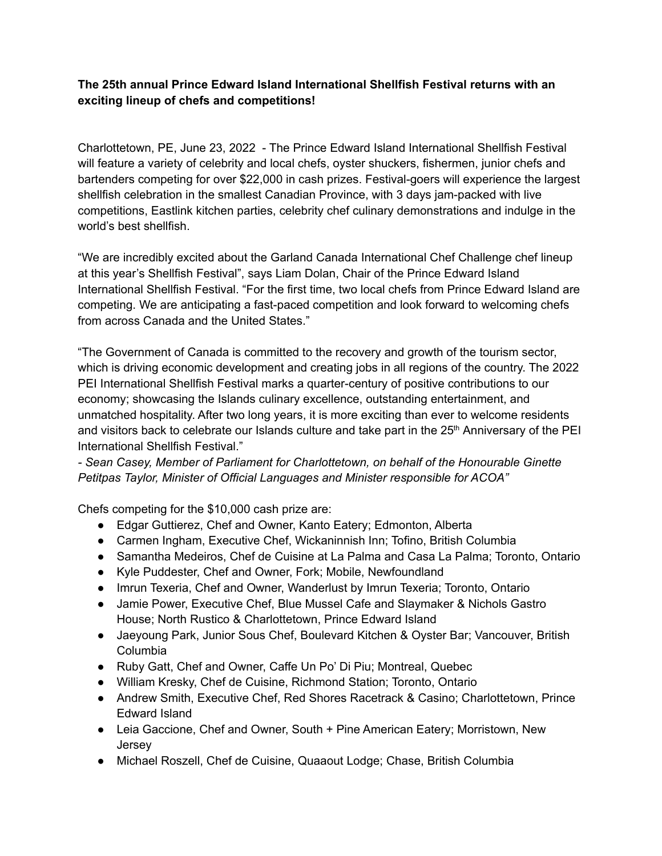## **The 25th annual Prince Edward Island International Shellfish Festival returns with an exciting lineup of chefs and competitions!**

Charlottetown, PE, June 23, 2022 - The Prince Edward Island International Shellfish Festival will feature a variety of celebrity and local chefs, oyster shuckers, fishermen, junior chefs and bartenders competing for over \$22,000 in cash prizes. Festival-goers will experience the largest shellfish celebration in the smallest Canadian Province, with 3 days jam-packed with live competitions, Eastlink kitchen parties, celebrity chef culinary demonstrations and indulge in the world's best shellfish.

"We are incredibly excited about the Garland Canada International Chef Challenge chef lineup at this year's Shellfish Festival", says Liam Dolan, Chair of the Prince Edward Island International Shellfish Festival. "For the first time, two local chefs from Prince Edward Island are competing. We are anticipating a fast-paced competition and look forward to welcoming chefs from across Canada and the United States."

"The Government of Canada is committed to the recovery and growth of the tourism sector, which is driving economic development and creating jobs in all regions of the country. The 2022 PEI International Shellfish Festival marks a quarter-century of positive contributions to our economy; showcasing the Islands culinary excellence, outstanding entertainment, and unmatched hospitality. After two long years, it is more exciting than ever to welcome residents and visitors back to celebrate our Islands culture and take part in the  $25<sup>th</sup>$  Anniversary of the PEI International Shellfish Festival."

*- Sean Casey, Member of Parliament for Charlottetown, on behalf of the Honourable Ginette Petitpas Taylor, Minister of Official Languages and Minister responsible for ACOA"*

Chefs competing for the \$10,000 cash prize are:

- Edgar Guttierez, Chef and Owner, Kanto Eatery; Edmonton, Alberta
- Carmen Ingham, Executive Chef, Wickaninnish Inn; Tofino, British Columbia
- Samantha Medeiros, Chef de Cuisine at La Palma and Casa La Palma; Toronto, Ontario
- Kyle Puddester, Chef and Owner, Fork; Mobile, Newfoundland
- Imrun Texeria, Chef and Owner, Wanderlust by Imrun Texeria; Toronto, Ontario
- Jamie Power, Executive Chef, Blue Mussel Cafe and Slaymaker & Nichols Gastro House; North Rustico & Charlottetown, Prince Edward Island
- Jaeyoung Park, Junior Sous Chef, Boulevard Kitchen & Oyster Bar; Vancouver, British Columbia
- Ruby Gatt, Chef and Owner, Caffe Un Po' Di Piu; Montreal, Quebec
- William Kresky, Chef de Cuisine, Richmond Station; Toronto, Ontario
- Andrew Smith, Executive Chef, Red Shores Racetrack & Casino; Charlottetown, Prince Edward Island
- Leia Gaccione, Chef and Owner, South + Pine American Eatery; Morristown, New **Jersey**
- Michael Roszell, Chef de Cuisine, Quaaout Lodge; Chase, British Columbia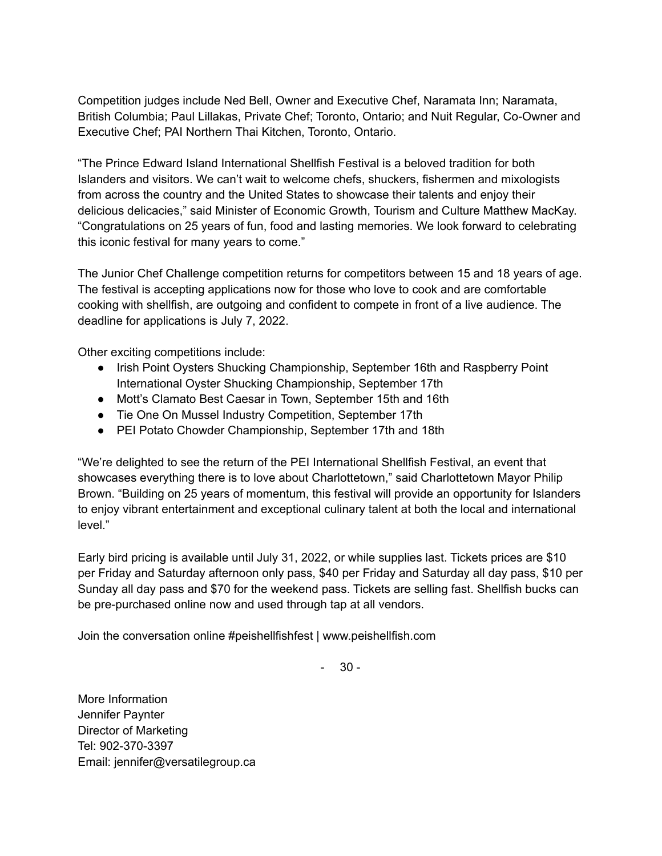Competition judges include Ned Bell, Owner and Executive Chef, Naramata Inn; Naramata, British Columbia; Paul Lillakas, Private Chef; Toronto, Ontario; and Nuit Regular, Co-Owner and Executive Chef; PAI Northern Thai Kitchen, Toronto, Ontario.

"The Prince Edward Island International Shellfish Festival is a beloved tradition for both Islanders and visitors. We can't wait to welcome chefs, shuckers, fishermen and mixologists from across the country and the United States to showcase their talents and enjoy their delicious delicacies," said Minister of Economic Growth, Tourism and Culture Matthew MacKay. "Congratulations on 25 years of fun, food and lasting memories. We look forward to celebrating this iconic festival for many years to come."

The Junior Chef Challenge competition returns for competitors between 15 and 18 years of age. The festival is accepting applications now for those who love to cook and are comfortable cooking with shellfish, are outgoing and confident to compete in front of a live audience. The deadline for applications is July 7, 2022.

Other exciting competitions include:

- Irish Point Oysters Shucking Championship, September 16th and Raspberry Point International Oyster Shucking Championship, September 17th
- Mott's Clamato Best Caesar in Town, September 15th and 16th
- Tie One On Mussel Industry Competition, September 17th
- PEI Potato Chowder Championship, September 17th and 18th

"We're delighted to see the return of the PEI International Shellfish Festival, an event that showcases everything there is to love about Charlottetown," said Charlottetown Mayor Philip Brown. "Building on 25 years of momentum, this festival will provide an opportunity for Islanders to enjoy vibrant entertainment and exceptional culinary talent at both the local and international level."

Early bird pricing is available until July 31, 2022, or while supplies last. Tickets prices are \$10 per Friday and Saturday afternoon only pass, \$40 per Friday and Saturday all day pass, \$10 per Sunday all day pass and \$70 for the weekend pass. Tickets are selling fast. Shellfish bucks can be pre-purchased online now and used through tap at all vendors.

Join the conversation online #peishellfishfest | www.peishellfish.com

 $30 -$ 

More Information Jennifer Paynter Director of Marketing Tel: 902-370-3397 Email: jennifer@versatilegroup.ca